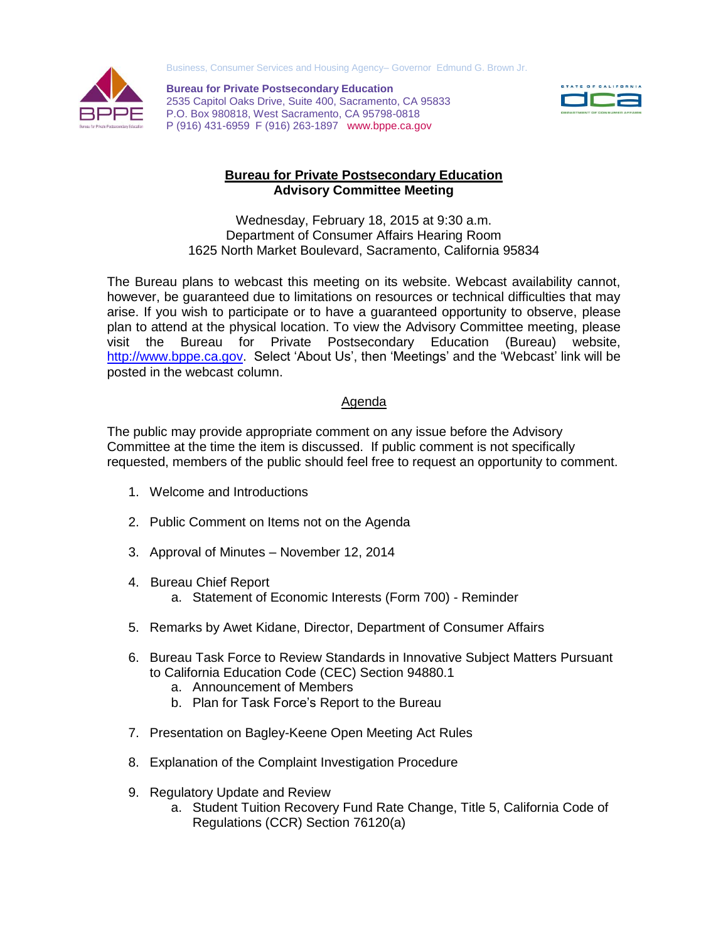



 P (916) 431-6959 F (916) 263-1897 www.bppe.ca.gov **Bureau for Private Postsecondary Education**  2535 Capitol Oaks Drive, Suite 400, Sacramento, CA 95833 P.O. Box 980818, West Sacramento, CA 95798-0818



## **Bureau for Private Postsecondary Education Advisory Committee Meeting**

 Wednesday, February 18, 2015 at 9:30 a.m. Department of Consumer Affairs Hearing Room 1625 North Market Boulevard, Sacramento, California 95834

 The Bureau plans to webcast this meeting on its website. Webcast availability cannot, however, be guaranteed due to limitations on resources or technical difficulties that may arise. If you wish to participate or to have a guaranteed opportunity to observe, please plan to attend at the physical location. To view the Advisory Committee meeting, please visit the Bureau for Private Postsecondary Education (Bureau) website, [http://www.bppe.ca.gov.](http://www.bppe.ca.gov/) Select 'About Us', then 'Meetings' and the 'Webcast' link will be posted in the webcast column.

## Agenda

 The public may provide appropriate comment on any issue before the Advisory Committee at the time the item is discussed. If public comment is not specifically requested, members of the public should feel free to request an opportunity to comment.

- 1. Welcome and Introductions
- 2. Public Comment on Items not on the Agenda
- 3. Approval of Minutes November 12, 2014
- 4. Bureau Chief Report a. Statement of Economic Interests (Form 700) - Reminder
- 5. Remarks by Awet Kidane, Director, Department of Consumer Affairs
- 6. Bureau Task Force to Review Standards in Innovative Subject Matters Pursuant to California Education Code (CEC) Section 94880.1
	- a. Announcement of Members
	- b. Plan for Task Force's Report to the Bureau
- 7. Presentation on Bagley-Keene Open Meeting Act Rules
- 8. Explanation of the Complaint Investigation Procedure
- 9. Regulatory Update and Review
	- a. Student Tuition Recovery Fund Rate Change, Title 5, California Code of Regulations (CCR) Section 76120(a)